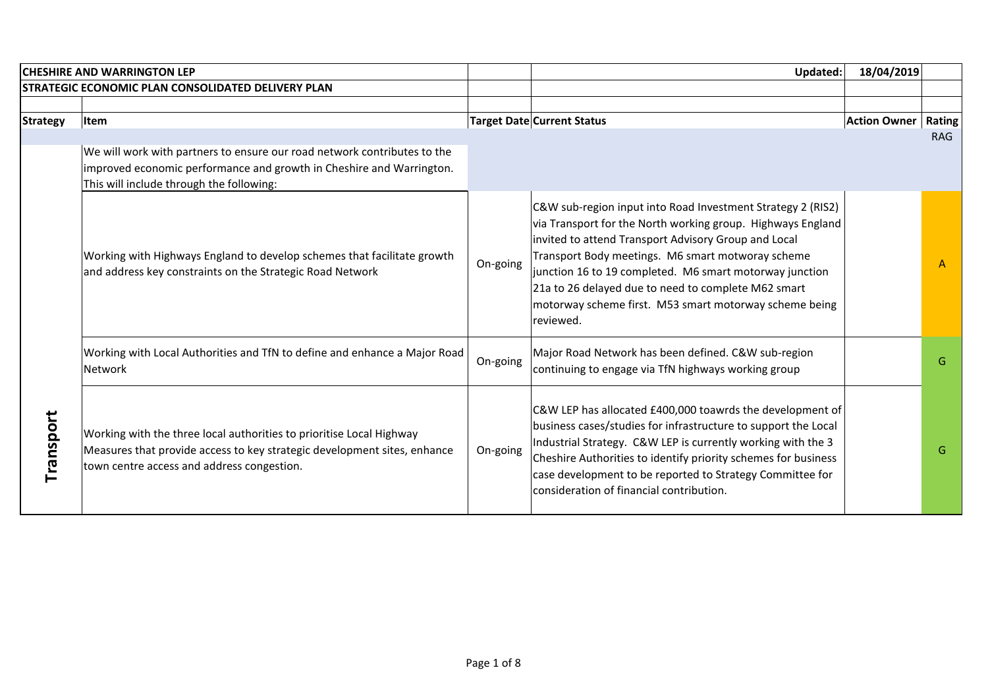|                 | <b>CHESHIRE AND WARRINGTON LEP</b>                                                                                                                                                             |          | Updated:                                                                                                                                                                                                                                                                                                                                                                                                                         | 18/04/2019          |              |
|-----------------|------------------------------------------------------------------------------------------------------------------------------------------------------------------------------------------------|----------|----------------------------------------------------------------------------------------------------------------------------------------------------------------------------------------------------------------------------------------------------------------------------------------------------------------------------------------------------------------------------------------------------------------------------------|---------------------|--------------|
|                 | STRATEGIC ECONOMIC PLAN CONSOLIDATED DELIVERY PLAN                                                                                                                                             |          |                                                                                                                                                                                                                                                                                                                                                                                                                                  |                     |              |
|                 |                                                                                                                                                                                                |          |                                                                                                                                                                                                                                                                                                                                                                                                                                  |                     |              |
| <b>Strategy</b> | <b>Item</b>                                                                                                                                                                                    |          | <b>Target Date Current Status</b>                                                                                                                                                                                                                                                                                                                                                                                                | <b>Action Owner</b> | Rating       |
|                 |                                                                                                                                                                                                |          |                                                                                                                                                                                                                                                                                                                                                                                                                                  |                     | <b>RAG</b>   |
|                 | We will work with partners to ensure our road network contributes to the                                                                                                                       |          |                                                                                                                                                                                                                                                                                                                                                                                                                                  |                     |              |
|                 | improved economic performance and growth in Cheshire and Warrington.                                                                                                                           |          |                                                                                                                                                                                                                                                                                                                                                                                                                                  |                     |              |
|                 | This will include through the following:                                                                                                                                                       |          |                                                                                                                                                                                                                                                                                                                                                                                                                                  |                     |              |
|                 | Working with Highways England to develop schemes that facilitate growth<br>and address key constraints on the Strategic Road Network                                                           | On-going | C&W sub-region input into Road Investment Strategy 2 (RIS2)<br>via Transport for the North working group. Highways England<br>invited to attend Transport Advisory Group and Local<br>Transport Body meetings. M6 smart motworay scheme<br>junction 16 to 19 completed. M6 smart motorway junction<br>21a to 26 delayed due to need to complete M62 smart<br>motorway scheme first. M53 smart motorway scheme being<br>reviewed. |                     | $\mathsf{A}$ |
|                 | Working with Local Authorities and TfN to define and enhance a Major Road<br>Network                                                                                                           | On-going | Major Road Network has been defined. C&W sub-region<br>continuing to engage via TfN highways working group                                                                                                                                                                                                                                                                                                                       |                     | G            |
| Transport       | Working with the three local authorities to prioritise Local Highway<br>Measures that provide access to key strategic development sites, enhance<br>town centre access and address congestion. | On-going | C&W LEP has allocated £400,000 toawrds the development of<br>business cases/studies for infrastructure to support the Local<br>Industrial Strategy. C&W LEP is currently working with the 3<br>Cheshire Authorities to identify priority schemes for business<br>case development to be reported to Strategy Committee for<br>consideration of financial contribution.                                                           |                     | G            |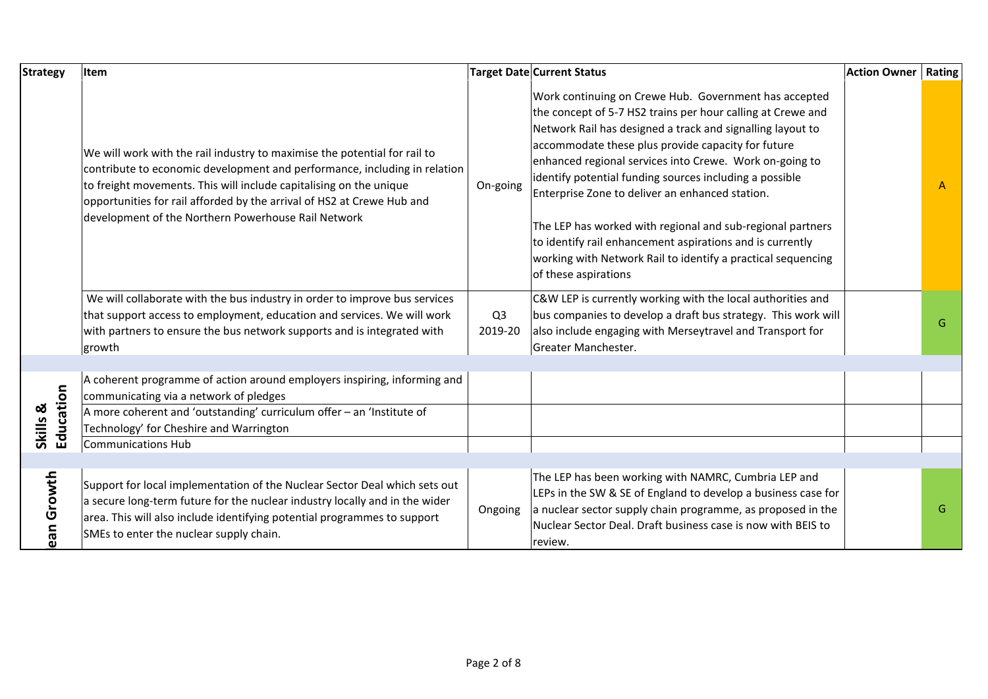| <b>Strategy</b>       | Item                                                                                                                                                                                                                                                                                                                                                          |                           | Target Date Current Status<br><b>Action Owner</b>                                                                                                                                                                                                                                                                                                                                                                                                                                                                                                                                                                                    | Rating |
|-----------------------|---------------------------------------------------------------------------------------------------------------------------------------------------------------------------------------------------------------------------------------------------------------------------------------------------------------------------------------------------------------|---------------------------|--------------------------------------------------------------------------------------------------------------------------------------------------------------------------------------------------------------------------------------------------------------------------------------------------------------------------------------------------------------------------------------------------------------------------------------------------------------------------------------------------------------------------------------------------------------------------------------------------------------------------------------|--------|
|                       | We will work with the rail industry to maximise the potential for rail to<br>contribute to economic development and performance, including in relation<br>to freight movements. This will include capitalising on the unique<br>opportunities for rail afforded by the arrival of HS2 at Crewe Hub and<br>development of the Northern Powerhouse Rail Network | On-going                  | Work continuing on Crewe Hub. Government has accepted<br>the concept of 5-7 HS2 trains per hour calling at Crewe and<br>Network Rail has designed a track and signalling layout to<br>accommodate these plus provide capacity for future<br>enhanced regional services into Crewe. Work on-going to<br>identify potential funding sources including a possible<br>Enterprise Zone to deliver an enhanced station.<br>The LEP has worked with regional and sub-regional partners<br>to identify rail enhancement aspirations and is currently<br>working with Network Rail to identify a practical sequencing<br>of these aspirations | A      |
|                       | We will collaborate with the bus industry in order to improve bus services<br>that support access to employment, education and services. We will work<br>with partners to ensure the bus network supports and is integrated with<br>growth                                                                                                                    | Q <sub>3</sub><br>2019-20 | C&W LEP is currently working with the local authorities and<br>bus companies to develop a draft bus strategy. This work will<br>also include engaging with Merseytravel and Transport for<br>Greater Manchester.                                                                                                                                                                                                                                                                                                                                                                                                                     | G      |
|                       |                                                                                                                                                                                                                                                                                                                                                               |                           |                                                                                                                                                                                                                                                                                                                                                                                                                                                                                                                                                                                                                                      |        |
| Education<br>Skills & | A coherent programme of action around employers inspiring, informing and<br>communicating via a network of pledges<br>A more coherent and 'outstanding' curriculum offer - an 'Institute of                                                                                                                                                                   |                           |                                                                                                                                                                                                                                                                                                                                                                                                                                                                                                                                                                                                                                      |        |
|                       | Technology' for Cheshire and Warrington                                                                                                                                                                                                                                                                                                                       |                           |                                                                                                                                                                                                                                                                                                                                                                                                                                                                                                                                                                                                                                      |        |
|                       | <b>Communications Hub</b>                                                                                                                                                                                                                                                                                                                                     |                           |                                                                                                                                                                                                                                                                                                                                                                                                                                                                                                                                                                                                                                      |        |
| ean Growth            | Support for local implementation of the Nuclear Sector Deal which sets out<br>a secure long-term future for the nuclear industry locally and in the wider<br>area. This will also include identifying potential programmes to support<br>SMEs to enter the nuclear supply chain.                                                                              | Ongoing                   | The LEP has been working with NAMRC, Cumbria LEP and<br>LEPs in the SW & SE of England to develop a business case for<br>a nuclear sector supply chain programme, as proposed in the<br>Nuclear Sector Deal. Draft business case is now with BEIS to<br>review.                                                                                                                                                                                                                                                                                                                                                                      | G      |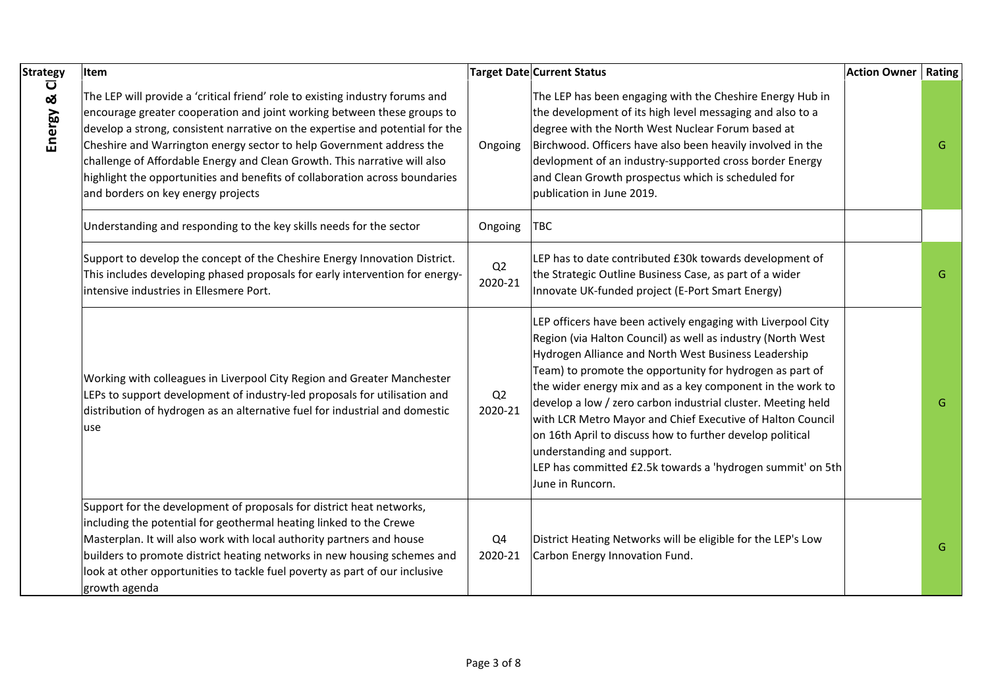| <b>Strategy</b> | Item                                                                                                                                                                                                                                                                                                                                                                                                                                                                                                                |                           | <b>Target Date Current Status</b>                                                                                                                                                                                                                                                                                                                                                                                                                                                                                                                                                                                        | <b>Action Owner</b> | <b>Rating</b> |
|-----------------|---------------------------------------------------------------------------------------------------------------------------------------------------------------------------------------------------------------------------------------------------------------------------------------------------------------------------------------------------------------------------------------------------------------------------------------------------------------------------------------------------------------------|---------------------------|--------------------------------------------------------------------------------------------------------------------------------------------------------------------------------------------------------------------------------------------------------------------------------------------------------------------------------------------------------------------------------------------------------------------------------------------------------------------------------------------------------------------------------------------------------------------------------------------------------------------------|---------------------|---------------|
| Ū<br>Energy &   | The LEP will provide a 'critical friend' role to existing industry forums and<br>encourage greater cooperation and joint working between these groups to<br>develop a strong, consistent narrative on the expertise and potential for the<br>Cheshire and Warrington energy sector to help Government address the<br>challenge of Affordable Energy and Clean Growth. This narrative will also<br>highlight the opportunities and benefits of collaboration across boundaries<br>and borders on key energy projects | Ongoing                   | The LEP has been engaging with the Cheshire Energy Hub in<br>the development of its high level messaging and also to a<br>degree with the North West Nuclear Forum based at<br>Birchwood. Officers have also been heavily involved in the<br>devlopment of an industry-supported cross border Energy<br>and Clean Growth prospectus which is scheduled for<br>publication in June 2019.                                                                                                                                                                                                                                  |                     | G             |
|                 | Understanding and responding to the key skills needs for the sector                                                                                                                                                                                                                                                                                                                                                                                                                                                 | Ongoing                   | <b>TBC</b>                                                                                                                                                                                                                                                                                                                                                                                                                                                                                                                                                                                                               |                     |               |
|                 | Support to develop the concept of the Cheshire Energy Innovation District.<br>This includes developing phased proposals for early intervention for energy-<br>intensive industries in Ellesmere Port.                                                                                                                                                                                                                                                                                                               | Q2<br>2020-21             | LEP has to date contributed £30k towards development of<br>the Strategic Outline Business Case, as part of a wider<br>Innovate UK-funded project (E-Port Smart Energy)                                                                                                                                                                                                                                                                                                                                                                                                                                                   |                     | G             |
|                 | Working with colleagues in Liverpool City Region and Greater Manchester<br>LEPs to support development of industry-led proposals for utilisation and<br>distribution of hydrogen as an alternative fuel for industrial and domestic<br>use                                                                                                                                                                                                                                                                          | Q2<br>2020-21             | LEP officers have been actively engaging with Liverpool City<br>Region (via Halton Council) as well as industry (North West<br>Hydrogen Alliance and North West Business Leadership<br>Team) to promote the opportunity for hydrogen as part of<br>the wider energy mix and as a key component in the work to<br>develop a low / zero carbon industrial cluster. Meeting held<br>with LCR Metro Mayor and Chief Executive of Halton Council<br>on 16th April to discuss how to further develop political<br>understanding and support.<br>LEP has committed £2.5k towards a 'hydrogen summit' on 5th<br>June in Runcorn. |                     | G             |
|                 | Support for the development of proposals for district heat networks,<br>including the potential for geothermal heating linked to the Crewe<br>Masterplan. It will also work with local authority partners and house<br>builders to promote district heating networks in new housing schemes and<br>look at other opportunities to tackle fuel poverty as part of our inclusive<br>growth agenda                                                                                                                     | Q <sub>4</sub><br>2020-21 | District Heating Networks will be eligible for the LEP's Low<br>Carbon Energy Innovation Fund.                                                                                                                                                                                                                                                                                                                                                                                                                                                                                                                           |                     | G.            |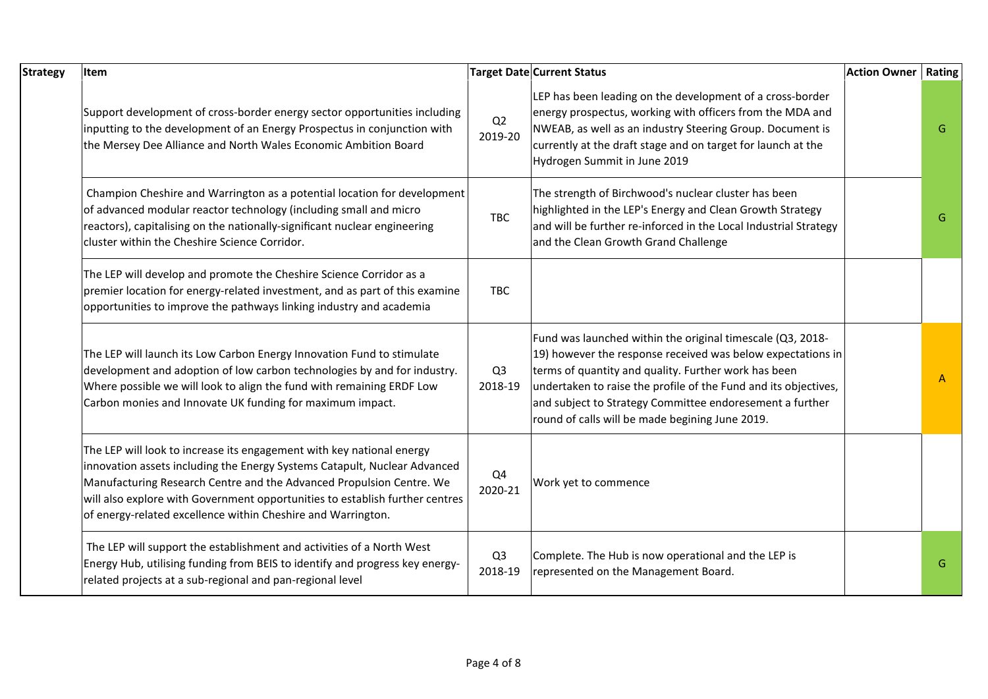| <b>Strategy</b> | Item                                                                                                                                                                                                                                                                                                                                                                       |                           | <b>Target Date Current Status</b>                                                                                                                                                                                                                                                                                                                                   | <b>Action Owner</b> | Rating       |
|-----------------|----------------------------------------------------------------------------------------------------------------------------------------------------------------------------------------------------------------------------------------------------------------------------------------------------------------------------------------------------------------------------|---------------------------|---------------------------------------------------------------------------------------------------------------------------------------------------------------------------------------------------------------------------------------------------------------------------------------------------------------------------------------------------------------------|---------------------|--------------|
|                 | Support development of cross-border energy sector opportunities including<br>inputting to the development of an Energy Prospectus in conjunction with<br>the Mersey Dee Alliance and North Wales Economic Ambition Board                                                                                                                                                   | Q2<br>2019-20             | LEP has been leading on the development of a cross-border<br>energy prospectus, working with officers from the MDA and<br>NWEAB, as well as an industry Steering Group. Document is<br>currently at the draft stage and on target for launch at the<br>Hydrogen Summit in June 2019                                                                                 |                     | G            |
|                 | Champion Cheshire and Warrington as a potential location for development<br>of advanced modular reactor technology (including small and micro<br>reactors), capitalising on the nationally-significant nuclear engineering<br>cluster within the Cheshire Science Corridor.                                                                                                | <b>TBC</b>                | The strength of Birchwood's nuclear cluster has been<br>highlighted in the LEP's Energy and Clean Growth Strategy<br>and will be further re-inforced in the Local Industrial Strategy<br>and the Clean Growth Grand Challenge                                                                                                                                       |                     | G            |
|                 | The LEP will develop and promote the Cheshire Science Corridor as a<br>premier location for energy-related investment, and as part of this examine<br>opportunities to improve the pathways linking industry and academia                                                                                                                                                  | <b>TBC</b>                |                                                                                                                                                                                                                                                                                                                                                                     |                     |              |
|                 | The LEP will launch its Low Carbon Energy Innovation Fund to stimulate<br>development and adoption of low carbon technologies by and for industry.<br>Where possible we will look to align the fund with remaining ERDF Low<br>Carbon monies and Innovate UK funding for maximum impact.                                                                                   | Q <sub>3</sub><br>2018-19 | Fund was launched within the original timescale (Q3, 2018-<br>19) however the response received was below expectations in<br>terms of quantity and quality. Further work has been<br>undertaken to raise the profile of the Fund and its objectives,<br>and subject to Strategy Committee endoresement a further<br>round of calls will be made begining June 2019. |                     | $\mathsf{A}$ |
|                 | The LEP will look to increase its engagement with key national energy<br>innovation assets including the Energy Systems Catapult, Nuclear Advanced<br>Manufacturing Research Centre and the Advanced Propulsion Centre. We<br>will also explore with Government opportunities to establish further centres<br>of energy-related excellence within Cheshire and Warrington. | Q4<br>2020-21             | Work yet to commence                                                                                                                                                                                                                                                                                                                                                |                     |              |
|                 | The LEP will support the establishment and activities of a North West<br>Energy Hub, utilising funding from BEIS to identify and progress key energy-<br>related projects at a sub-regional and pan-regional level                                                                                                                                                         | Q <sub>3</sub><br>2018-19 | Complete. The Hub is now operational and the LEP is<br>represented on the Management Board.                                                                                                                                                                                                                                                                         |                     | G            |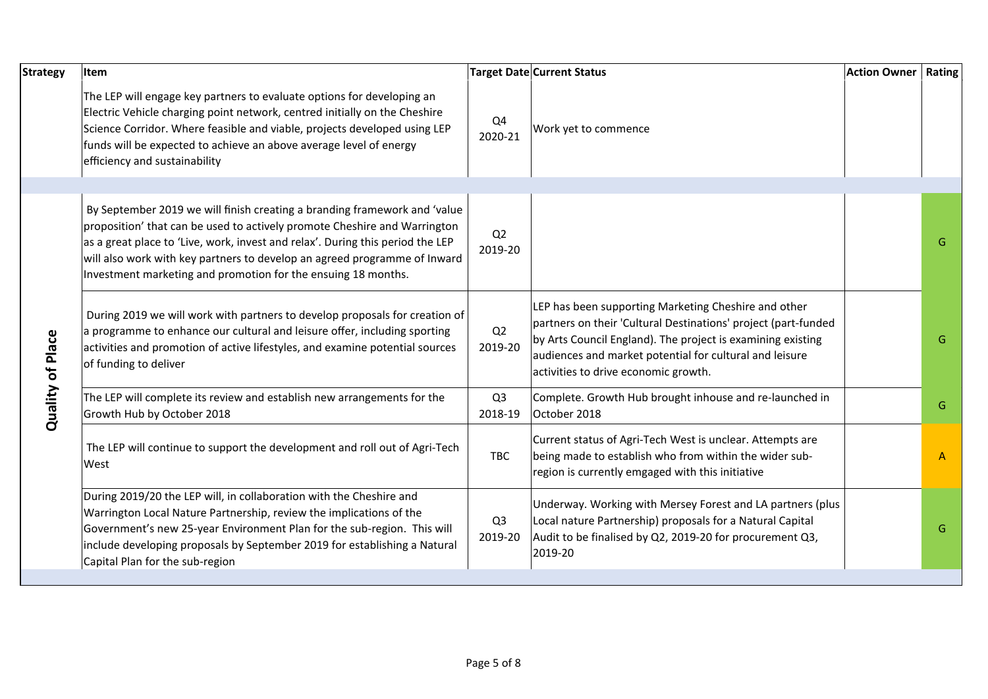| <b>Strategy</b>  | Item                                                                                                                                                                                                                                                                                                                                                                                   |                           | <b>Target Date Current Status</b>                                                                                                                                                                                                                                                        | <b>Action Owner   Rating</b> |    |
|------------------|----------------------------------------------------------------------------------------------------------------------------------------------------------------------------------------------------------------------------------------------------------------------------------------------------------------------------------------------------------------------------------------|---------------------------|------------------------------------------------------------------------------------------------------------------------------------------------------------------------------------------------------------------------------------------------------------------------------------------|------------------------------|----|
|                  | The LEP will engage key partners to evaluate options for developing an<br>Electric Vehicle charging point network, centred initially on the Cheshire<br>Science Corridor. Where feasible and viable, projects developed using LEP<br>funds will be expected to achieve an above average level of energy<br>efficiency and sustainability                                               | Q4<br>2020-21             | Work yet to commence                                                                                                                                                                                                                                                                     |                              |    |
|                  |                                                                                                                                                                                                                                                                                                                                                                                        |                           |                                                                                                                                                                                                                                                                                          |                              |    |
|                  | By September 2019 we will finish creating a branding framework and 'value<br>proposition' that can be used to actively promote Cheshire and Warrington<br>as a great place to 'Live, work, invest and relax'. During this period the LEP<br>will also work with key partners to develop an agreed programme of Inward<br>Investment marketing and promotion for the ensuing 18 months. | Q <sub>2</sub><br>2019-20 |                                                                                                                                                                                                                                                                                          |                              | G. |
| Quality of Place | During 2019 we will work with partners to develop proposals for creation of<br>a programme to enhance our cultural and leisure offer, including sporting<br>activities and promotion of active lifestyles, and examine potential sources<br>of funding to deliver                                                                                                                      | Q2<br>2019-20             | LEP has been supporting Marketing Cheshire and other<br>partners on their 'Cultural Destinations' project (part-funded<br>by Arts Council England). The project is examining existing<br>audiences and market potential for cultural and leisure<br>activities to drive economic growth. |                              | G  |
|                  | The LEP will complete its review and establish new arrangements for the<br>Growth Hub by October 2018                                                                                                                                                                                                                                                                                  | Q <sub>3</sub><br>2018-19 | Complete. Growth Hub brought inhouse and re-launched in<br>October 2018                                                                                                                                                                                                                  |                              | G  |
|                  | The LEP will continue to support the development and roll out of Agri-Tech<br>West                                                                                                                                                                                                                                                                                                     | <b>TBC</b>                | Current status of Agri-Tech West is unclear. Attempts are<br>being made to establish who from within the wider sub-<br>region is currently emgaged with this initiative                                                                                                                  |                              | А  |
|                  | During 2019/20 the LEP will, in collaboration with the Cheshire and<br>Warrington Local Nature Partnership, review the implications of the<br>Government's new 25-year Environment Plan for the sub-region. This will<br>include developing proposals by September 2019 for establishing a Natural<br>Capital Plan for the sub-region                                                  | Q <sub>3</sub><br>2019-20 | Underway. Working with Mersey Forest and LA partners (plus<br>Local nature Partnership) proposals for a Natural Capital<br>Audit to be finalised by Q2, 2019-20 for procurement Q3,<br>2019-20                                                                                           |                              | G  |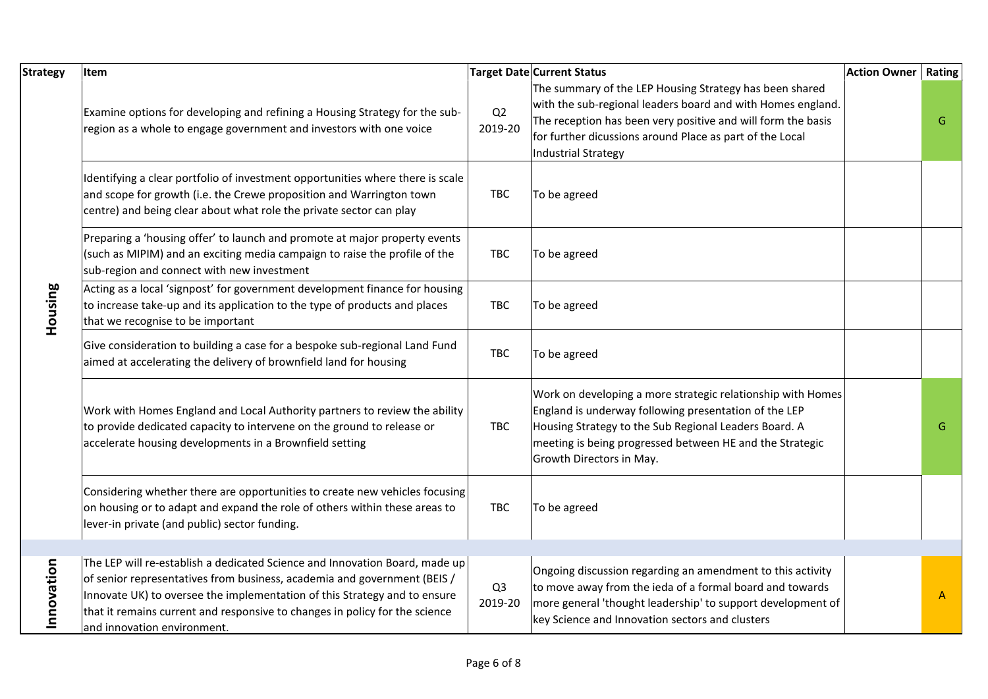| <b>Strategy</b>       | Item                                                                                                                                                                                                                                                                                                                                               |                           | <b>Target Date Current Status</b><br><b>Action Owner</b>                                                                                                                                                                                                                         | Rating |
|-----------------------|----------------------------------------------------------------------------------------------------------------------------------------------------------------------------------------------------------------------------------------------------------------------------------------------------------------------------------------------------|---------------------------|----------------------------------------------------------------------------------------------------------------------------------------------------------------------------------------------------------------------------------------------------------------------------------|--------|
|                       | Examine options for developing and refining a Housing Strategy for the sub-<br>region as a whole to engage government and investors with one voice                                                                                                                                                                                                 | Q2<br>2019-20             | The summary of the LEP Housing Strategy has been shared<br>with the sub-regional leaders board and with Homes england.<br>The reception has been very positive and will form the basis<br>for further dicussions around Place as part of the Local<br><b>Industrial Strategy</b> | G      |
|                       | Identifying a clear portfolio of investment opportunities where there is scale<br>and scope for growth (i.e. the Crewe proposition and Warrington town<br>centre) and being clear about what role the private sector can play                                                                                                                      | <b>TBC</b>                | To be agreed                                                                                                                                                                                                                                                                     |        |
|                       | Preparing a 'housing offer' to launch and promote at major property events<br>(such as MIPIM) and an exciting media campaign to raise the profile of the<br>sub-region and connect with new investment                                                                                                                                             | <b>TBC</b>                | To be agreed                                                                                                                                                                                                                                                                     |        |
| Housing               | Acting as a local 'signpost' for government development finance for housing<br>to increase take-up and its application to the type of products and places<br>that we recognise to be important                                                                                                                                                     | <b>TBC</b>                | To be agreed                                                                                                                                                                                                                                                                     |        |
|                       | Give consideration to building a case for a bespoke sub-regional Land Fund<br>aimed at accelerating the delivery of brownfield land for housing                                                                                                                                                                                                    | <b>TBC</b>                | To be agreed                                                                                                                                                                                                                                                                     |        |
|                       | Work with Homes England and Local Authority partners to review the ability<br>to provide dedicated capacity to intervene on the ground to release or<br>accelerate housing developments in a Brownfield setting                                                                                                                                    | <b>TBC</b>                | Work on developing a more strategic relationship with Homes<br>England is underway following presentation of the LEP<br>Housing Strategy to the Sub Regional Leaders Board. A<br>meeting is being progressed between HE and the Strategic<br>Growth Directors in May.            | G      |
|                       | Considering whether there are opportunities to create new vehicles focusing<br>on housing or to adapt and expand the role of others within these areas to<br>lever-in private (and public) sector funding.                                                                                                                                         | <b>TBC</b>                | To be agreed                                                                                                                                                                                                                                                                     |        |
| tion<br><b>Innova</b> | The LEP will re-establish a dedicated Science and Innovation Board, made up<br>of senior representatives from business, academia and government (BEIS /<br>Innovate UK) to oversee the implementation of this Strategy and to ensure<br>that it remains current and responsive to changes in policy for the science<br>and innovation environment. | Q <sub>3</sub><br>2019-20 | Ongoing discussion regarding an amendment to this activity<br>to move away from the ieda of a formal board and towards<br>more general 'thought leadership' to support development of<br>key Science and Innovation sectors and clusters                                         | A      |
|                       |                                                                                                                                                                                                                                                                                                                                                    | Page 6 of 8               |                                                                                                                                                                                                                                                                                  |        |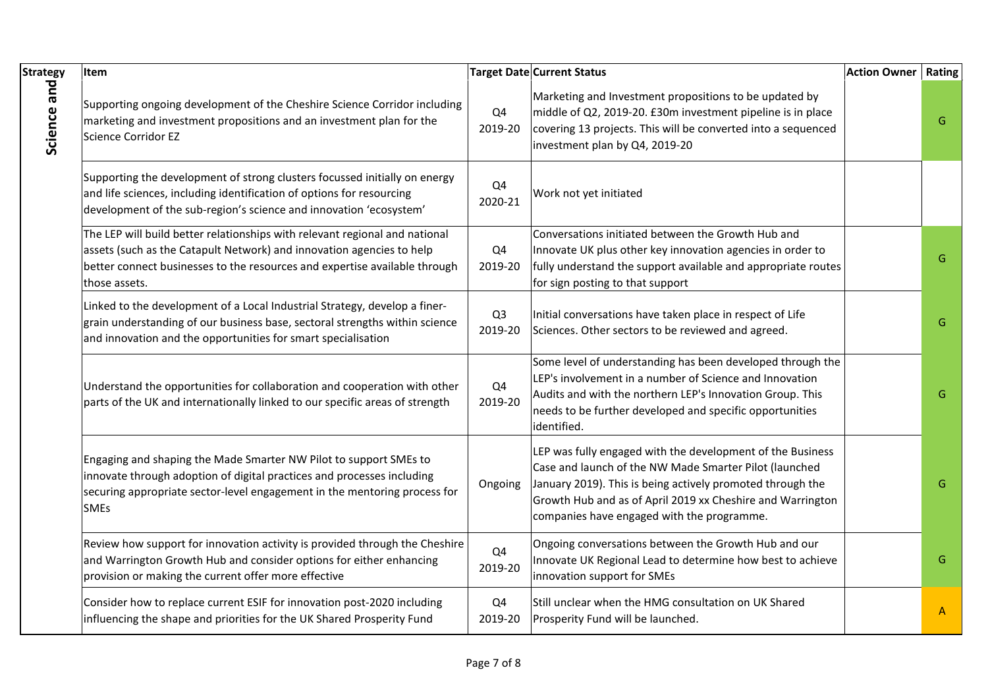| <b>Strategy</b> | Item                                                                                                                                                                                                                                                |                           | <b>Target Date Current Status</b>                                                                                                                                                                                                                                                              | <b>Action Owner   Rating</b> |   |
|-----------------|-----------------------------------------------------------------------------------------------------------------------------------------------------------------------------------------------------------------------------------------------------|---------------------------|------------------------------------------------------------------------------------------------------------------------------------------------------------------------------------------------------------------------------------------------------------------------------------------------|------------------------------|---|
| Science and     | Supporting ongoing development of the Cheshire Science Corridor including<br>marketing and investment propositions and an investment plan for the<br>Science Corridor EZ                                                                            | Q4<br>2019-20             | Marketing and Investment propositions to be updated by<br>middle of Q2, 2019-20. £30m investment pipeline is in place<br>covering 13 projects. This will be converted into a sequenced<br>investment plan by Q4, 2019-20                                                                       |                              | G |
|                 | Supporting the development of strong clusters focussed initially on energy<br>and life sciences, including identification of options for resourcing<br>development of the sub-region's science and innovation 'ecosystem'                           | Q4<br>2020-21             | Work not yet initiated                                                                                                                                                                                                                                                                         |                              |   |
|                 | The LEP will build better relationships with relevant regional and national<br>assets (such as the Catapult Network) and innovation agencies to help<br>better connect businesses to the resources and expertise available through<br>those assets. | Q4<br>2019-20             | Conversations initiated between the Growth Hub and<br>Innovate UK plus other key innovation agencies in order to<br>fully understand the support available and appropriate routes<br>for sign posting to that support                                                                          |                              | G |
|                 | Linked to the development of a Local Industrial Strategy, develop a finer-<br>grain understanding of our business base, sectoral strengths within science<br>and innovation and the opportunities for smart specialisation                          | Q <sub>3</sub><br>2019-20 | Initial conversations have taken place in respect of Life<br>Sciences. Other sectors to be reviewed and agreed.                                                                                                                                                                                |                              | G |
|                 | Understand the opportunities for collaboration and cooperation with other<br>parts of the UK and internationally linked to our specific areas of strength                                                                                           | Q4<br>2019-20             | Some level of understanding has been developed through the<br>LEP's involvement in a number of Science and Innovation<br>Audits and with the northern LEP's Innovation Group. This<br>needs to be further developed and specific opportunities<br>identified.                                  |                              | G |
|                 | Engaging and shaping the Made Smarter NW Pilot to support SMEs to<br>innovate through adoption of digital practices and processes including<br>securing appropriate sector-level engagement in the mentoring process for<br><b>SMEs</b>             | Ongoing                   | LEP was fully engaged with the development of the Business<br>Case and launch of the NW Made Smarter Pilot (launched<br>January 2019). This is being actively promoted through the<br>Growth Hub and as of April 2019 xx Cheshire and Warrington<br>companies have engaged with the programme. |                              | G |
|                 | Review how support for innovation activity is provided through the Cheshire<br>and Warrington Growth Hub and consider options for either enhancing<br>provision or making the current offer more effective                                          | Q4<br>2019-20             | Ongoing conversations between the Growth Hub and our<br>Innovate UK Regional Lead to determine how best to achieve<br>innovation support for SMEs                                                                                                                                              |                              | G |
|                 | Consider how to replace current ESIF for innovation post-2020 including<br>influencing the shape and priorities for the UK Shared Prosperity Fund                                                                                                   | Q4<br>2019-20             | Still unclear when the HMG consultation on UK Shared<br>Prosperity Fund will be launched.                                                                                                                                                                                                      |                              | A |